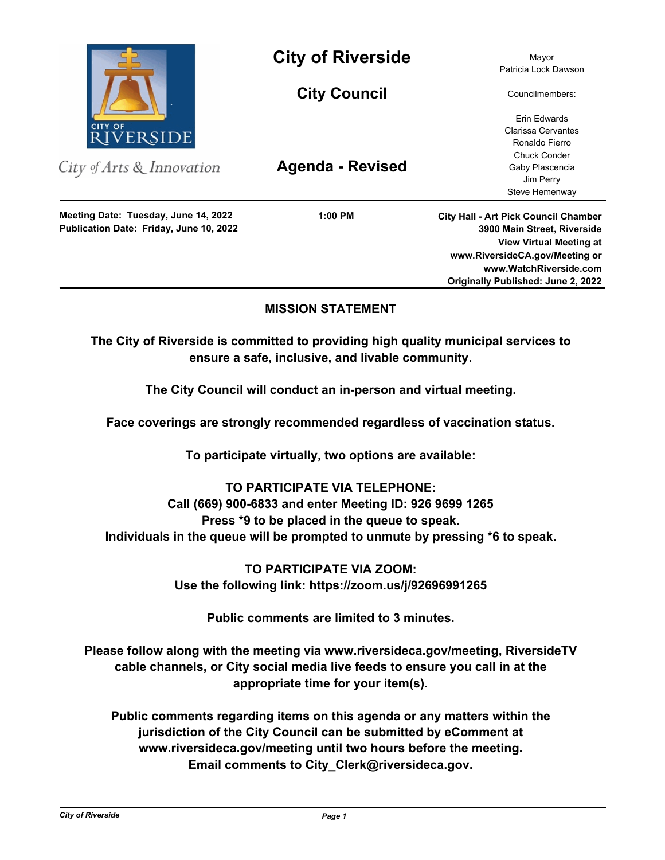

City of Arts & Innovation

**Publication Date: Friday, June 10, 2022 Meeting Date: Tuesday, June 14, 2022**

**City of Riverside** Mayor

**City Council**

**Agenda - Revised**

**1:00 PM**

Patricia Lock Dawson

Councilmembers:

Erin Edwards Clarissa Cervantes Ronaldo Fierro Chuck Conder Gaby Plascencia Jim Perry Steve Hemenway

**City Hall - Art Pick Council Chamber 3900 Main Street, Riverside View Virtual Meeting at www.RiversideCA.gov/Meeting or www.WatchRiverside.com Originally Published: June 2, 2022**

# **MISSION STATEMENT**

**The City of Riverside is committed to providing high quality municipal services to ensure a safe, inclusive, and livable community.**

**The City Council will conduct an in-person and virtual meeting.** 

**Face coverings are strongly recommended regardless of vaccination status.** 

**To participate virtually, two options are available:** 

# **TO PARTICIPATE VIA TELEPHONE:**

**Call (669) 900-6833 and enter Meeting ID: 926 9699 1265 Press \*9 to be placed in the queue to speak. Individuals in the queue will be prompted to unmute by pressing \*6 to speak.**

> **TO PARTICIPATE VIA ZOOM: Use the following link: https://zoom.us/j/92696991265**

> > **Public comments are limited to 3 minutes.**

**Please follow along with the meeting via www.riversideca.gov/meeting, RiversideTV cable channels, or City social media live feeds to ensure you call in at the appropriate time for your item(s).** 

**Public comments regarding items on this agenda or any matters within the jurisdiction of the City Council can be submitted by eComment at www.riversideca.gov/meeting until two hours before the meeting. Email comments to City\_Clerk@riversideca.gov.**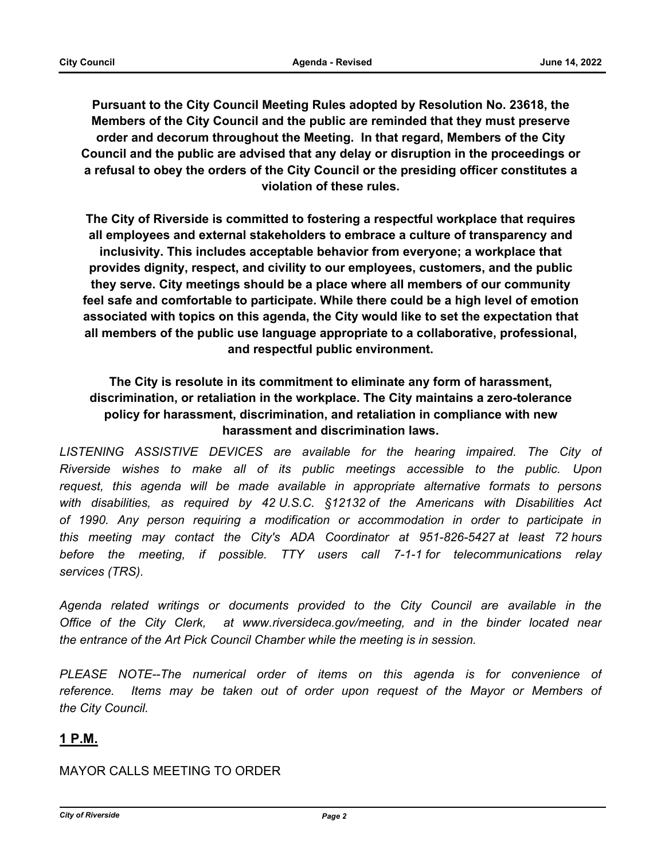**Pursuant to the City Council Meeting Rules adopted by Resolution No. 23618, the Members of the City Council and the public are reminded that they must preserve order and decorum throughout the Meeting. In that regard, Members of the City Council and the public are advised that any delay or disruption in the proceedings or a refusal to obey the orders of the City Council or the presiding officer constitutes a violation of these rules.**

**The City of Riverside is committed to fostering a respectful workplace that requires all employees and external stakeholders to embrace a culture of transparency and inclusivity. This includes acceptable behavior from everyone; a workplace that provides dignity, respect, and civility to our employees, customers, and the public they serve. City meetings should be a place where all members of our community feel safe and comfortable to participate. While there could be a high level of emotion associated with topics on this agenda, the City would like to set the expectation that all members of the public use language appropriate to a collaborative, professional, and respectful public environment.**

# **The City is resolute in its commitment to eliminate any form of harassment, discrimination, or retaliation in the workplace. The City maintains a zero-tolerance policy for harassment, discrimination, and retaliation in compliance with new harassment and discrimination laws.**

LISTENING ASSISTIVE DEVICES are available for the hearing impaired. The City of *Riverside wishes to make all of its public meetings accessible to the public. Upon request, this agenda will be made available in appropriate alternative formats to persons with disabilities, as required by 42 U.S.C. §12132 of the Americans with Disabilities Act of 1990. Any person requiring a modification or accommodation in order to participate in this meeting may contact the City's ADA Coordinator at 951-826-5427 at least 72 hours before the meeting, if possible. TTY users call 7-1-1 for telecommunications relay services (TRS).* 

*Agenda related writings or documents provided to the City Council are available in the Office of the City Clerk, at www.riversideca.gov/meeting, and in the binder located near the entrance of the Art Pick Council Chamber while the meeting is in session.* 

PLEASE NOTE--The numerical order of items on this agenda is for convenience of *reference. Items may be taken out of order upon request of the Mayor or Members of the City Council.*

# **1 P.M.**

# MAYOR CALLS MEETING TO ORDER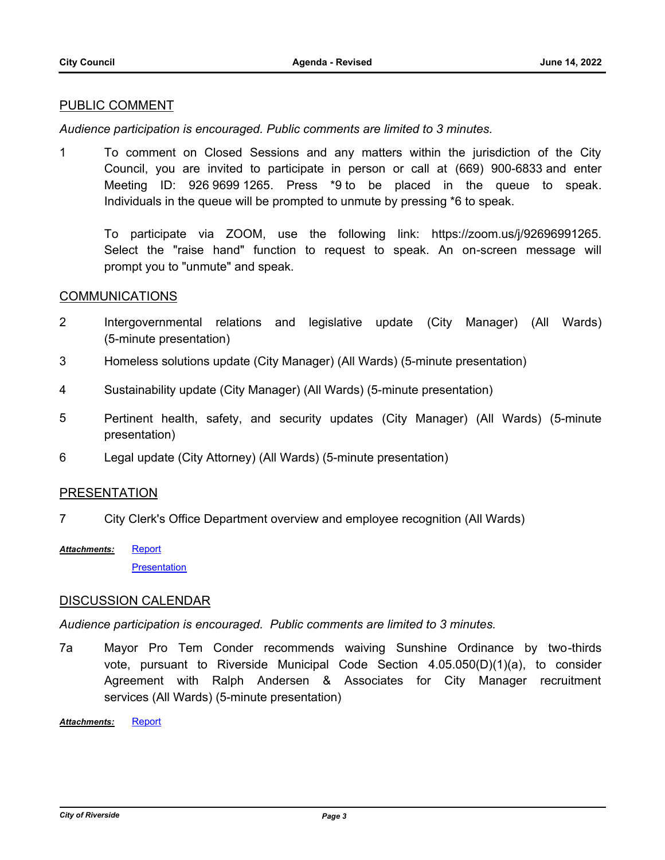### PUBLIC COMMENT

*Audience participation is encouraged. Public comments are limited to 3 minutes.*

1 To comment on Closed Sessions and any matters within the jurisdiction of the City Council, you are invited to participate in person or call at (669) 900-6833 and enter Meeting ID: 926 9699 1265. Press \*9 to be placed in the queue to speak. Individuals in the queue will be prompted to unmute by pressing \*6 to speak.

To participate via ZOOM, use the following link: https://zoom.us/j/92696991265. Select the "raise hand" function to request to speak. An on-screen message will prompt you to "unmute" and speak.

#### COMMUNICATIONS

- 2 Intergovernmental relations and legislative update (City Manager) (All Wards) (5-minute presentation)
- 3 Homeless solutions update (City Manager) (All Wards) (5-minute presentation)
- 4 Sustainability update (City Manager) (All Wards) (5-minute presentation)
- 5 Pertinent health, safety, and security updates (City Manager) (All Wards) (5-minute presentation)
- 6 Legal update (City Attorney) (All Wards) (5-minute presentation)

### PRESENTATION

- 7 City Clerk's Office Department overview and employee recognition (All Wards)
- **[Report](http://riversideca.legistar.com/gateway.aspx?M=F&ID=0becc353-3994-4ed0-9f92-b28849fe89cf.docx) [Presentation](http://riversideca.legistar.com/gateway.aspx?M=F&ID=39f76001-ff33-4ed8-8331-9bebb1fb41b5.pdf)** *Attachments:*

### DISCUSSION CALENDAR

*Audience participation is encouraged. Public comments are limited to 3 minutes.*

7a Mayor Pro Tem Conder recommends waiving Sunshine Ordinance by two-thirds vote, pursuant to Riverside Municipal Code Section 4.05.050(D)(1)(a), to consider Agreement with Ralph Andersen & Associates for City Manager recruitment services (All Wards) (5-minute presentation)

*Attachments:* [Report](http://riversideca.legistar.com/gateway.aspx?M=F&ID=d9067d00-93b5-4032-9711-60b077f6db3e.pdf)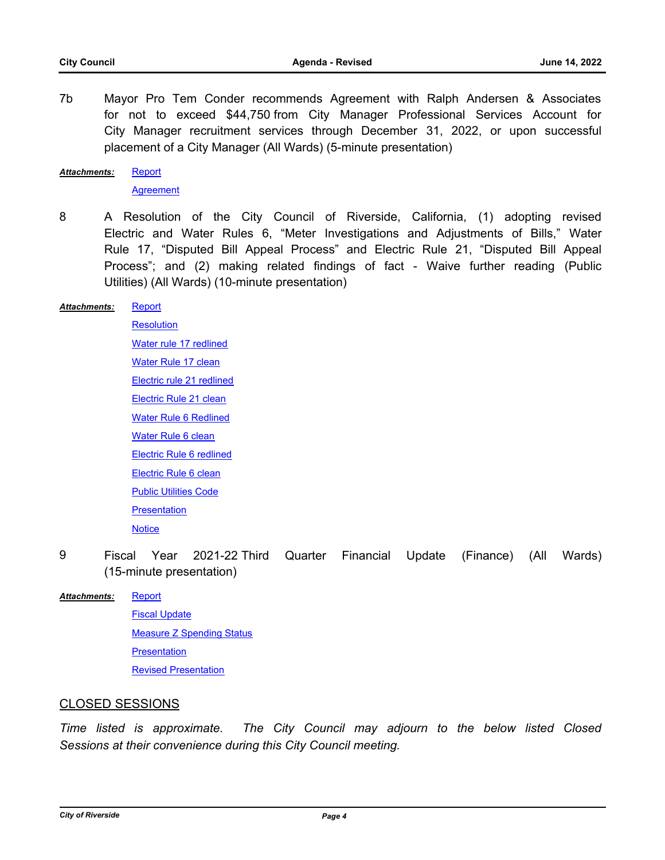7b Mayor Pro Tem Conder recommends Agreement with Ralph Andersen & Associates for not to exceed \$44,750 from City Manager Professional Services Account for City Manager recruitment services through December 31, 2022, or upon successful placement of a City Manager (All Wards) (5-minute presentation)

**[Report](http://riversideca.legistar.com/gateway.aspx?M=F&ID=87b78110-fb31-438d-a889-938f6620568d.pdf)** *Attachments:*

**[Agreement](http://riversideca.legistar.com/gateway.aspx?M=F&ID=473acc2c-1e4e-4a3a-a89b-535770d32fba.pdf)** 

8 A Resolution of the City Council of Riverside, California, (1) adopting revised Electric and Water Rules 6, "Meter Investigations and Adjustments of Bills," Water Rule 17, "Disputed Bill Appeal Process" and Electric Rule 21, "Disputed Bill Appeal Process"; and (2) making related findings of fact - Waive further reading (Public Utilities) (All Wards) (10-minute presentation)

#### **[Report](http://riversideca.legistar.com/gateway.aspx?M=F&ID=cba6ef28-6fc5-4f9d-925e-37406de3d3ea.docx)** *Attachments:*

**[Resolution](http://riversideca.legistar.com/gateway.aspx?M=F&ID=a06bc190-9917-4fbf-88fe-c7022abc6f20.pdf)** [Water rule 17 redlined](http://riversideca.legistar.com/gateway.aspx?M=F&ID=f516cc48-51bd-416c-9b21-02b7a380300b.pdf) [Water Rule 17 clean](http://riversideca.legistar.com/gateway.aspx?M=F&ID=44a78009-2dcf-4f79-9ca3-f02913f4c915.pdf) [Electric rule 21 redlined](http://riversideca.legistar.com/gateway.aspx?M=F&ID=1fbf5a67-cb84-4850-a536-e0efb5a2823c.pdf) [Electric Rule 21 clean](http://riversideca.legistar.com/gateway.aspx?M=F&ID=cafc2ba0-7cf5-4c82-ade0-302b107658d5.pdf) [Water Rule 6 Redlined](http://riversideca.legistar.com/gateway.aspx?M=F&ID=712bfdd5-8da4-4611-b144-bb670062fd84.pdf) [Water Rule 6 clean](http://riversideca.legistar.com/gateway.aspx?M=F&ID=21a3b82a-49f1-4086-947a-12df07f04cf6.pdf) [Electric Rule 6 redlined](http://riversideca.legistar.com/gateway.aspx?M=F&ID=a25fe7c3-5245-497d-af61-28a17777576c.pdf) [Electric Rule 6 clean](http://riversideca.legistar.com/gateway.aspx?M=F&ID=288a3593-4180-4d7c-aa61-9e055d98a04f.pdf) [Public Utilities Code](http://riversideca.legistar.com/gateway.aspx?M=F&ID=3b52b1f1-a202-4a83-b2d0-d1a79eb64ea5.pdf) **[Presentation](http://riversideca.legistar.com/gateway.aspx?M=F&ID=53eb2d9d-756c-433f-8db5-56c60e7140ee.pdf) [Notice](http://riversideca.legistar.com/gateway.aspx?M=F&ID=cb00ebdd-0040-43bb-a4e0-803ea9ebf5ab.pdf)** 

9 Fiscal Year 2021-22 Third Quarter Financial Update (Finance) (All Wards) (15-minute presentation)

#### **[Report](http://riversideca.legistar.com/gateway.aspx?M=F&ID=a229b275-af2e-4ae1-b1f4-e8fd4a40c4f5.docx)** *Attachments:*

[Fiscal Update](http://riversideca.legistar.com/gateway.aspx?M=F&ID=89628d80-bf8d-4770-b224-840d1a34f0ac.pdf) **[Measure Z Spending Status](http://riversideca.legistar.com/gateway.aspx?M=F&ID=f190ace7-8c57-4f87-a1aa-382ca51d9e80.pdf) [Presentation](http://riversideca.legistar.com/gateway.aspx?M=F&ID=d5f790dc-057a-4b7e-bf0f-e94aac8cafd0.pdf)** [Revised Presentation](http://riversideca.legistar.com/gateway.aspx?M=F&ID=080f5971-f484-481d-9de0-c49a2d17e68e.pdf)

# CLOSED SESSIONS

*Time listed is approximate. The City Council may adjourn to the below listed Closed Sessions at their convenience during this City Council meeting.*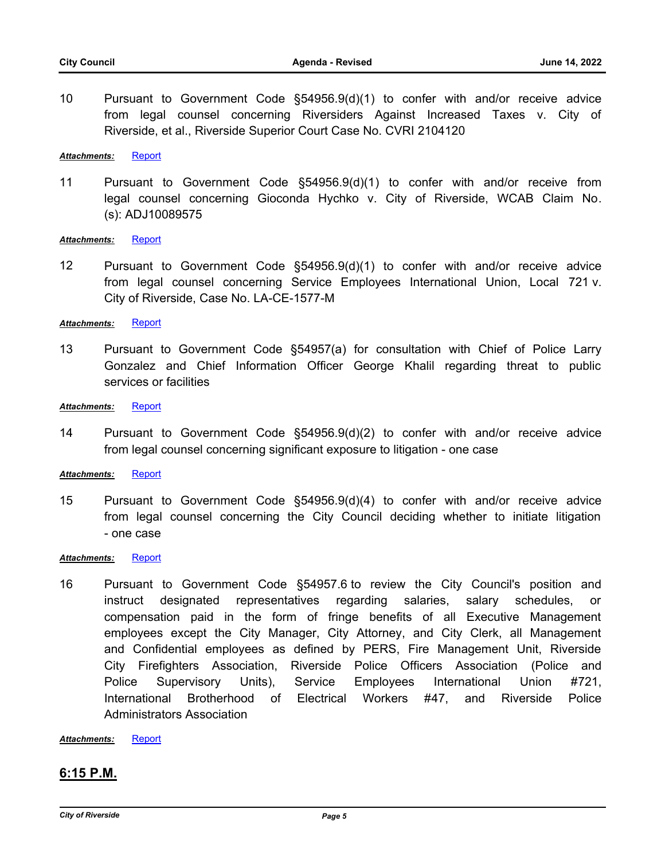10 Pursuant to Government Code §54956.9(d)(1) to confer with and/or receive advice from legal counsel concerning Riversiders Against Increased Taxes v. City of Riverside, et al., Riverside Superior Court Case No. CVRI 2104120

*Attachments:* [Report](http://riversideca.legistar.com/gateway.aspx?M=F&ID=6cbc0dc5-dfb1-406d-8404-0724e12a8580.doc)

11 Pursuant to Government Code §54956.9(d)(1) to confer with and/or receive from legal counsel concerning Gioconda Hychko v. City of Riverside, WCAB Claim No. (s): ADJ10089575

#### Attachments: [Report](http://riversideca.legistar.com/gateway.aspx?M=F&ID=1c4cc3ec-2061-4da2-bd8b-d929c9b86e50.DOC)

12 Pursuant to Government Code §54956.9(d)(1) to confer with and/or receive advice from legal counsel concerning Service Employees International Union, Local 721 v. City of Riverside, Case No. LA-CE-1577-M

#### *Attachments:* [Report](http://riversideca.legistar.com/gateway.aspx?M=F&ID=bbef4b02-e2a9-41c6-a827-af7b01c0bd8a.doc)

13 Pursuant to Government Code §54957(a) for consultation with Chief of Police Larry Gonzalez and Chief Information Officer George Khalil regarding threat to public services or facilities

#### *Attachments:* [Report](http://riversideca.legistar.com/gateway.aspx?M=F&ID=d022c0c8-fae3-4847-a4dc-27fa94d71764.doc)

14 Pursuant to Government Code §54956.9(d)(2) to confer with and/or receive advice from legal counsel concerning significant exposure to litigation - one case

#### *Attachments:* [Report](http://riversideca.legistar.com/gateway.aspx?M=F&ID=025b9c81-7404-40ab-9f84-61c1fc04a26d.doc)

15 Pursuant to Government Code §54956.9(d)(4) to confer with and/or receive advice from legal counsel concerning the City Council deciding whether to initiate litigation - one case

#### *Attachments:* [Report](http://riversideca.legistar.com/gateway.aspx?M=F&ID=030199a7-f068-48ee-b48a-4651e014b7c5.doc)

16 Pursuant to Government Code §54957.6 to review the City Council's position and instruct designated representatives regarding salaries, salary schedules, or compensation paid in the form of fringe benefits of all Executive Management employees except the City Manager, City Attorney, and City Clerk, all Management and Confidential employees as defined by PERS, Fire Management Unit, Riverside City Firefighters Association, Riverside Police Officers Association (Police and Police Supervisory Units), Service Employees International Union #721, International Brotherhood of Electrical Workers #47, and Riverside Police Administrators Association

*Attachments:* [Report](http://riversideca.legistar.com/gateway.aspx?M=F&ID=b252baa8-4ca7-42ba-aa52-1daecec6313b.doc)

### **6:15 P.M.**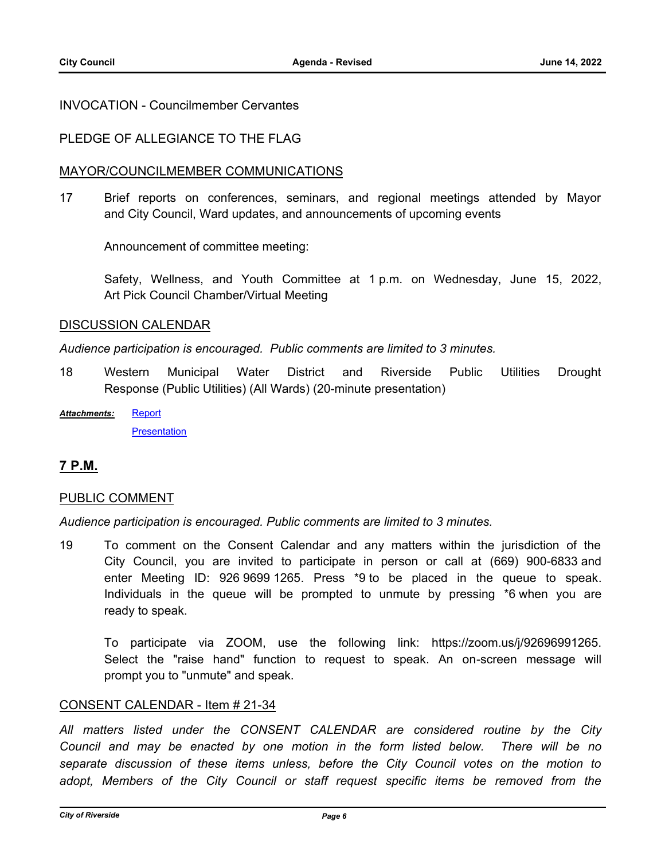### INVOCATION - Councilmember Cervantes

# PLEDGE OF ALLEGIANCE TO THE FLAG

#### MAYOR/COUNCILMEMBER COMMUNICATIONS

17 Brief reports on conferences, seminars, and regional meetings attended by Mayor and City Council, Ward updates, and announcements of upcoming events

Announcement of committee meeting:

Safety, Wellness, and Youth Committee at 1 p.m. on Wednesday, June 15, 2022, Art Pick Council Chamber/Virtual Meeting

#### DISCUSSION CALENDAR

*Audience participation is encouraged. Public comments are limited to 3 minutes.*

- 18 Western Municipal Water District and Riverside Public Utilities Drought Response (Public Utilities) (All Wards) (20-minute presentation)
- [Report](http://riversideca.legistar.com/gateway.aspx?M=F&ID=be23b3db-d622-4a97-88dc-3f7692056fa9.docx) **[Presentation](http://riversideca.legistar.com/gateway.aspx?M=F&ID=3440c8f5-9984-4fb8-8adb-0232461d144a.pdf)** *Attachments:*

# **7 P.M.**

### PUBLIC COMMENT

*Audience participation is encouraged. Public comments are limited to 3 minutes.*

19 To comment on the Consent Calendar and any matters within the jurisdiction of the City Council, you are invited to participate in person or call at (669) 900-6833 and enter Meeting ID: 926 9699 1265. Press \*9 to be placed in the queue to speak. Individuals in the queue will be prompted to unmute by pressing \*6 when you are ready to speak.

To participate via ZOOM, use the following link: https://zoom.us/j/92696991265. Select the "raise hand" function to request to speak. An on-screen message will prompt you to "unmute" and speak.

### CONSENT CALENDAR - Item # 21-34

*All matters listed under the CONSENT CALENDAR are considered routine by the City Council and may be enacted by one motion in the form listed below. There will be no separate discussion of these items unless, before the City Council votes on the motion to*  adopt, Members of the City Council or staff request specific items be removed from the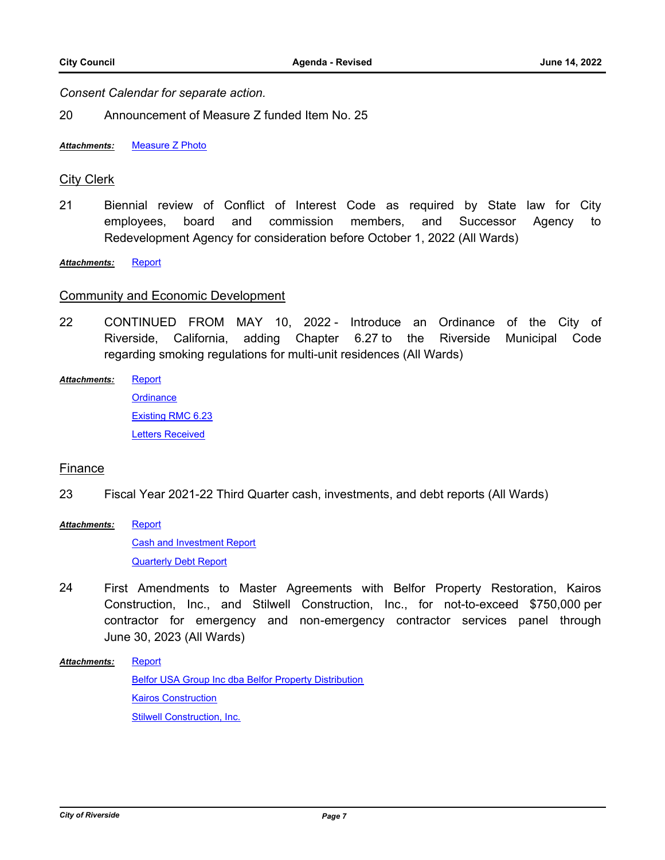*Consent Calendar for separate action.*

20 Announcement of Measure Z funded Item No. 25

*Attachments:* [Measure Z Photo](http://riversideca.legistar.com/gateway.aspx?M=F&ID=dfdbd86d-4260-4e64-85bf-cb49d19a0c11.pdf)

### City Clerk

21 Biennial review of Conflict of Interest Code as required by State law for City employees, board and commission members, and Successor Agency to Redevelopment Agency for consideration before October 1, 2022 (All Wards)

*Attachments:* [Report](http://riversideca.legistar.com/gateway.aspx?M=F&ID=6d3bc5cf-7212-4b47-9806-bdb12d417131.docx)

#### Community and Economic Development

22 CONTINUED FROM MAY 10, 2022 - Introduce an Ordinance of the City of Riverside, California, adding Chapter 6.27 to the Riverside Municipal Code regarding smoking regulations for multi-unit residences (All Wards)

**[Report](http://riversideca.legistar.com/gateway.aspx?M=F&ID=e4a5141b-06d7-4bd4-8338-a8848410c215.docx)** *Attachments:*

> **[Ordinance](http://riversideca.legistar.com/gateway.aspx?M=F&ID=ef764f9b-2bb6-4fad-985c-a243eb6696b0.pdf)** [Existing RMC 6.23](http://riversideca.legistar.com/gateway.aspx?M=F&ID=3b40d1c5-6836-435a-a06a-5c855113f897.pdf) [Letters Received](http://riversideca.legistar.com/gateway.aspx?M=F&ID=8c20c316-c365-4ab0-889c-f9a31dbb09bb.pdf)

### **Finance**

- 23 Fiscal Year 2021-22 Third Quarter cash, investments, and debt reports (All Wards)
- **[Report](http://riversideca.legistar.com/gateway.aspx?M=F&ID=727ce9cf-f6b3-428e-98e6-9e944282b962.docx)** *Attachments:*

[Cash and Investment Report](http://riversideca.legistar.com/gateway.aspx?M=F&ID=e6e65a7a-974f-4d05-8a5b-be7325a64750.pdf) [Quarterly Debt Report](http://riversideca.legistar.com/gateway.aspx?M=F&ID=6a1face2-3029-4c8e-a571-7c5abc7696d5.pdf)

24 First Amendments to Master Agreements with Belfor Property Restoration, Kairos Construction, Inc., and Stilwell Construction, Inc., for not-to-exceed \$750,000 per contractor for emergency and non-emergency contractor services panel through June 30, 2023 (All Wards)

#### **[Report](http://riversideca.legistar.com/gateway.aspx?M=F&ID=1f03e041-8b0d-4ebc-8b99-be9ab9b3ad70.docx)** *Attachments:*

[Belfor USA Group Inc dba Belfor Property Distribution](http://riversideca.legistar.com/gateway.aspx?M=F&ID=c15d4931-368f-4aa6-9986-b7f5032dc728.pdf) [Kairos Construction](http://riversideca.legistar.com/gateway.aspx?M=F&ID=dca37636-5b3d-48ac-a2bd-83136fb2813d.pdf) [Stilwell Construction, Inc.](http://riversideca.legistar.com/gateway.aspx?M=F&ID=24319e24-5a2d-4514-853f-e429f3dddef2.pdf)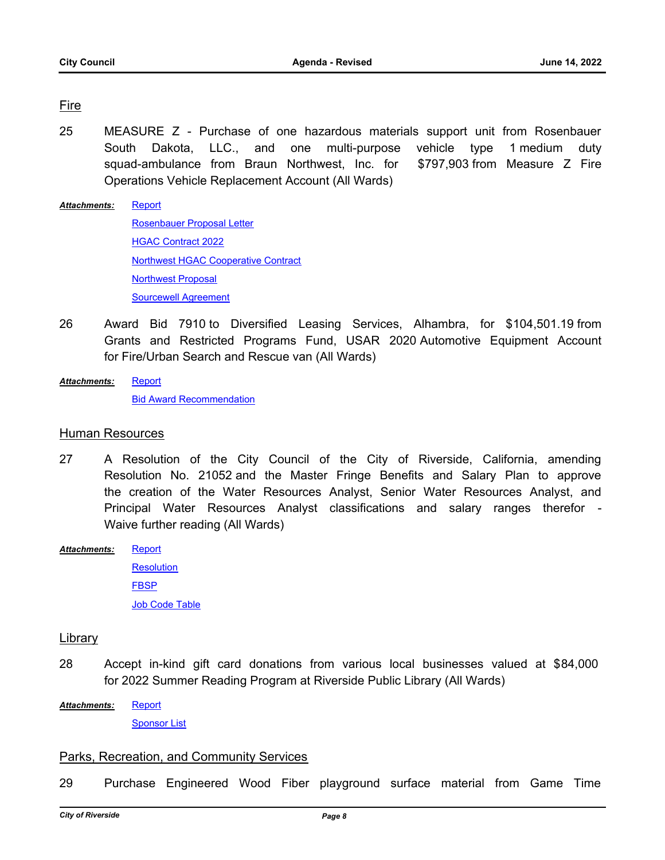# Fire

- 25 MEASURE Z Purchase of one hazardous materials support unit from Rosenbauer South Dakota, LLC., and one multi-purpose vehicle type 1 medium duty squad-ambulance from Braun Northwest, Inc. for \$797,903 from Measure Z Fire Operations Vehicle Replacement Account (All Wards)
- [Report](http://riversideca.legistar.com/gateway.aspx?M=F&ID=0c7401c9-76c9-404e-ac81-b8e9982a5a37.docx) [Rosenbauer Proposal Letter](http://riversideca.legistar.com/gateway.aspx?M=F&ID=5766a02c-cba3-4903-93b5-9360a8d773f8.pdf) [HGAC Contract 2022](http://riversideca.legistar.com/gateway.aspx?M=F&ID=1af43be3-dea3-4527-bbcf-0d4f0fd6b101.pdf) [Northwest HGAC Cooperative Contract](http://riversideca.legistar.com/gateway.aspx?M=F&ID=d7bf66a5-be6e-45d3-bbd0-cf471e9a978d.pdf) [Northwest Proposal](http://riversideca.legistar.com/gateway.aspx?M=F&ID=e729a14a-a991-4d5a-b51a-a3da1df9bf0b.pdf) [Sourcewell Agreement](http://riversideca.legistar.com/gateway.aspx?M=F&ID=17277027-aa07-4da1-a682-3d8fd0dc1843.pdf) *Attachments:*
- 26 Award Bid 7910 to Diversified Leasing Services, Alhambra, for \$104,501.19 from Grants and Restricted Programs Fund, USAR 2020 Automotive Equipment Account for Fire/Urban Search and Rescue van (All Wards)
- **[Report](http://riversideca.legistar.com/gateway.aspx?M=F&ID=8d96987a-f41a-4457-bee2-d4f76b7fad29.docx)** *Attachments:*

**[Bid Award Recommendation](http://riversideca.legistar.com/gateway.aspx?M=F&ID=269a2134-f6fd-4021-8316-193f485d0ca7.pdf)** 

#### Human Resources

- 27 A Resolution of the City Council of the City of Riverside, California, amending Resolution No. 21052 and the Master Fringe Benefits and Salary Plan to approve the creation of the Water Resources Analyst, Senior Water Resources Analyst, and Principal Water Resources Analyst classifications and salary ranges therefor - Waive further reading (All Wards)
- **[Report](http://riversideca.legistar.com/gateway.aspx?M=F&ID=49a39258-dcee-4f99-8dc2-e878693f5bc3.docx)** *Attachments:*

**[Resolution](http://riversideca.legistar.com/gateway.aspx?M=F&ID=d41d874c-191d-403f-9a09-4540fbbfe081.doc)** [FBSP](http://riversideca.legistar.com/gateway.aspx?M=F&ID=e2566b50-cec0-40d4-9b1e-6b105773ecf6.docx) [Job Code Table](http://riversideca.legistar.com/gateway.aspx?M=F&ID=2cccb506-fb2a-4c61-9dd9-fd0b45e832b9.docx)

### Library

- 28 Accept in-kind gift card donations from various local businesses valued at \$84,000 for 2022 Summer Reading Program at Riverside Public Library (All Wards)
- **[Report](http://riversideca.legistar.com/gateway.aspx?M=F&ID=c937623d-5f8f-4df7-97ce-adfff45081ad.docx)** *Attachments:*

**[Sponsor List](http://riversideca.legistar.com/gateway.aspx?M=F&ID=a5fa7c5b-3171-4da8-b519-5e4e7300afbe.pdf)** 

### Parks, Recreation, and Community Services

29 Purchase Engineered Wood Fiber playground surface material from Game Time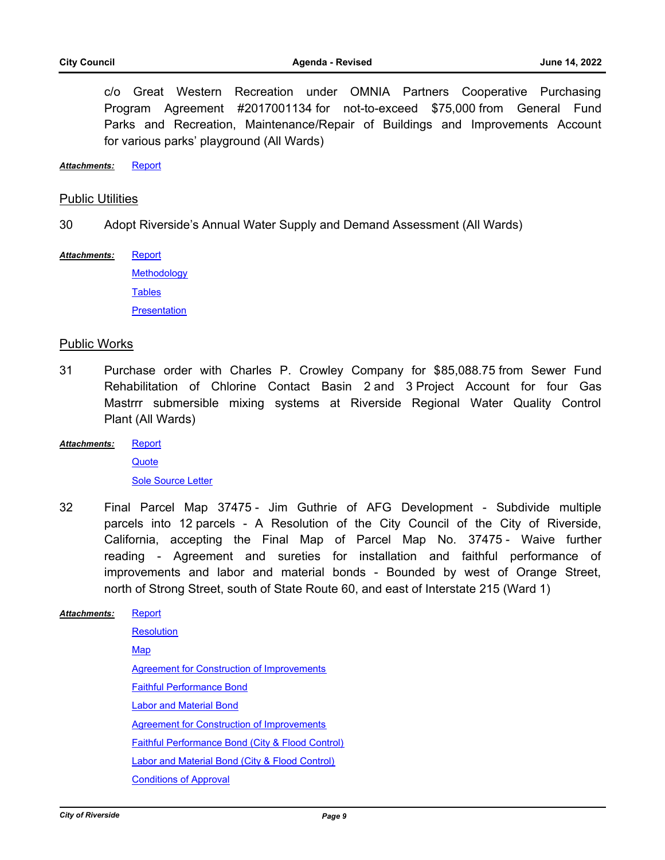c/o Great Western Recreation under OMNIA Partners Cooperative Purchasing Program Agreement #2017001134 for not-to-exceed \$75,000 from General Fund Parks and Recreation, Maintenance/Repair of Buildings and Improvements Account for various parks' playground (All Wards)

*Attachments:* [Report](http://riversideca.legistar.com/gateway.aspx?M=F&ID=28859771-6324-4d0a-ab91-118d3f5afd44.docx)

#### Public Utilities

30 Adopt Riverside's Annual Water Supply and Demand Assessment (All Wards)

[Report](http://riversideca.legistar.com/gateway.aspx?M=F&ID=76d4b02d-1ec8-4c4d-b5a8-05d3060b764b.docx) *Attachments:*

> **[Methodology](http://riversideca.legistar.com/gateway.aspx?M=F&ID=c714de2c-afbf-414a-aa56-1b89a31b7a47.pdf) [Tables](http://riversideca.legistar.com/gateway.aspx?M=F&ID=7e247cac-d1e7-4610-85e0-3af8824f7b18.pdf) [Presentation](http://riversideca.legistar.com/gateway.aspx?M=F&ID=458eb05f-6a3c-44de-89fa-3812f2158395.pdf)**

#### Public Works

- 31 Purchase order with Charles P. Crowley Company for \$85,088.75 from Sewer Fund Rehabilitation of Chlorine Contact Basin 2 and 3 Project Account for four Gas Mastrrr submersible mixing systems at Riverside Regional Water Quality Control Plant (All Wards)
- **[Report](http://riversideca.legistar.com/gateway.aspx?M=F&ID=898f44df-c127-4f14-9504-27e2d96076ba.docx)** *Attachments:*

**[Quote](http://riversideca.legistar.com/gateway.aspx?M=F&ID=e7f7706b-4480-4374-be64-1a42c5c76443.PDF)** [Sole Source Letter](http://riversideca.legistar.com/gateway.aspx?M=F&ID=ac91fcbe-460f-4bca-b56a-5c32ae6131e2.pdf)

32 Final Parcel Map 37475 - Jim Guthrie of AFG Development - Subdivide multiple parcels into 12 parcels - A Resolution of the City Council of the City of Riverside, California, accepting the Final Map of Parcel Map No. 37475 - Waive further reading - Agreement and sureties for installation and faithful performance of improvements and labor and material bonds - Bounded by west of Orange Street, north of Strong Street, south of State Route 60, and east of Interstate 215 (Ward 1)

**[Report](http://riversideca.legistar.com/gateway.aspx?M=F&ID=8d9e7efa-45e7-4583-bb28-a34483757726.docx) [Resolution](http://riversideca.legistar.com/gateway.aspx?M=F&ID=4abe2447-3348-4c01-bd5e-20d12bf3ce9d.docx) [Map](http://riversideca.legistar.com/gateway.aspx?M=F&ID=71199351-0a79-4f83-936c-9644ccd29f8e.pdf)** [Agreement for Construction of Improvements](http://riversideca.legistar.com/gateway.aspx?M=F&ID=3b687130-037d-4758-a8bb-6e957115ce2f.pdf) [Faithful Performance Bond](http://riversideca.legistar.com/gateway.aspx?M=F&ID=fbafe2d6-3ff4-443e-a7b4-e7a3e65d763d.pdf) [Labor and Material Bond](http://riversideca.legistar.com/gateway.aspx?M=F&ID=3aa97bdc-8788-49bc-9394-373f12944c99.pdf) [Agreement for Construction of Improvements](http://riversideca.legistar.com/gateway.aspx?M=F&ID=2283a2c5-fd03-404f-be25-2a81b425f634.pdf) [Faithful Performance Bond \(City & Flood Control\)](http://riversideca.legistar.com/gateway.aspx?M=F&ID=cc1bab0f-1c85-434b-87c6-ddf4e42e62a1.pdf) [Labor and Material Bond \(City & Flood Control\)](http://riversideca.legistar.com/gateway.aspx?M=F&ID=acd68d85-62ee-486a-a5fe-c41bbe26d11e.pdf) [Conditions of Approval](http://riversideca.legistar.com/gateway.aspx?M=F&ID=c15da47b-ff77-4488-ad9a-af25d2cf7466.pdf) *Attachments:*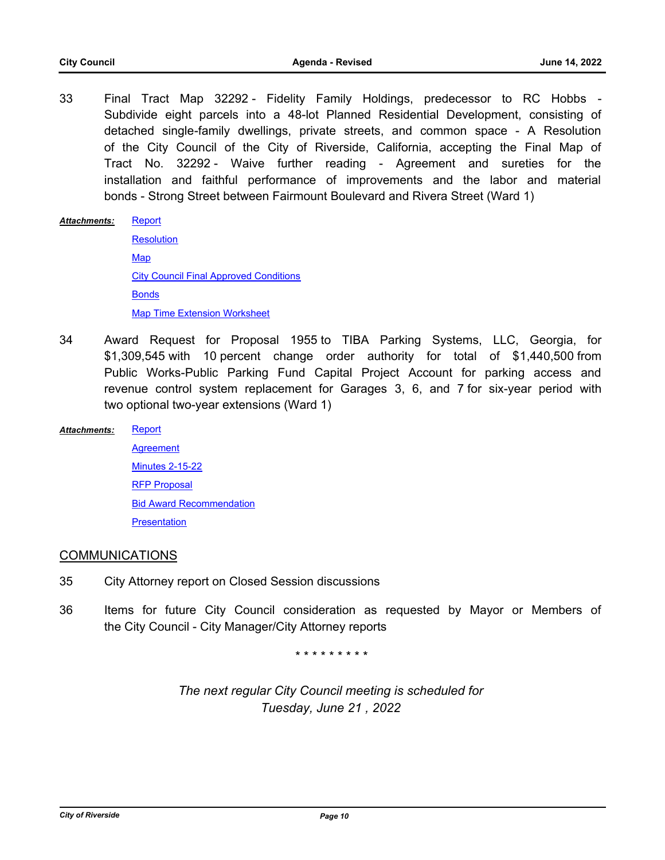33 Final Tract Map 32292 - Fidelity Family Holdings, predecessor to RC Hobbs - Subdivide eight parcels into a 48-lot Planned Residential Development, consisting of detached single-family dwellings, private streets, and common space - A Resolution of the City Council of the City of Riverside, California, accepting the Final Map of Tract No. 32292 - Waive further reading - Agreement and sureties for the installation and faithful performance of improvements and the labor and material bonds - Strong Street between Fairmount Boulevard and Rivera Street (Ward 1)

#### **[Report](http://riversideca.legistar.com/gateway.aspx?M=F&ID=bb69e999-f50b-47e0-90e4-679a2149439b.docx)** *Attachments:*

**[Resolution](http://riversideca.legistar.com/gateway.aspx?M=F&ID=b82873d3-3d7f-4335-af4c-7ed89bb95112.docx) [Map](http://riversideca.legistar.com/gateway.aspx?M=F&ID=778215f9-f27d-4a07-8c47-03faecf94fac.pdf)** [City Council Final Approved Conditions](http://riversideca.legistar.com/gateway.aspx?M=F&ID=c70e5e35-b190-41c9-81b7-27e3e7c9a14a.pdf) [Bonds](http://riversideca.legistar.com/gateway.aspx?M=F&ID=502b6641-b92d-4c47-8313-ff4d12114953.pdf) [Map Time Extension Worksheet](http://riversideca.legistar.com/gateway.aspx?M=F&ID=13ba399a-1a4a-4ecf-a983-960dc37f9585.pdf)

- 34 Award Request for Proposal 1955 to TIBA Parking Systems, LLC, Georgia, for \$1,309,545 with 10 percent change order authority for total of \$1,440,500 from Public Works-Public Parking Fund Capital Project Account for parking access and revenue control system replacement for Garages 3, 6, and 7 for six-year period with two optional two-year extensions (Ward 1)
- [Report](http://riversideca.legistar.com/gateway.aspx?M=F&ID=d88d1def-c18e-4702-824b-1030884a9c9c.docx) *Attachments:*
	- **[Agreement](http://riversideca.legistar.com/gateway.aspx?M=F&ID=3864a38b-78c5-41d3-9e18-21ce3d7f8178.pdf)** [Minutes 2-15-22](http://riversideca.legistar.com/gateway.aspx?M=F&ID=acb22f0c-8315-4a88-8e16-198c9fe82d73.pdf) [RFP Proposal](http://riversideca.legistar.com/gateway.aspx?M=F&ID=5a6ecdd2-9d5e-4a8a-8de1-c59ebbe477c3.pdf) [Bid Award Recommendation](http://riversideca.legistar.com/gateway.aspx?M=F&ID=069ccde6-346c-4396-a30a-0fc2faaca51a.pdf) **[Presentation](http://riversideca.legistar.com/gateway.aspx?M=F&ID=ca215410-ed6a-4a57-b5b1-ec44cfe51d9a.pdf)**

### COMMUNICATIONS

- 35 City Attorney report on Closed Session discussions
- 36 Items for future City Council consideration as requested by Mayor or Members of the City Council - City Manager/City Attorney reports

*\* \* \* \* \* \* \* \* \**

*The next regular City Council meeting is scheduled for Tuesday, June 21 , 2022*